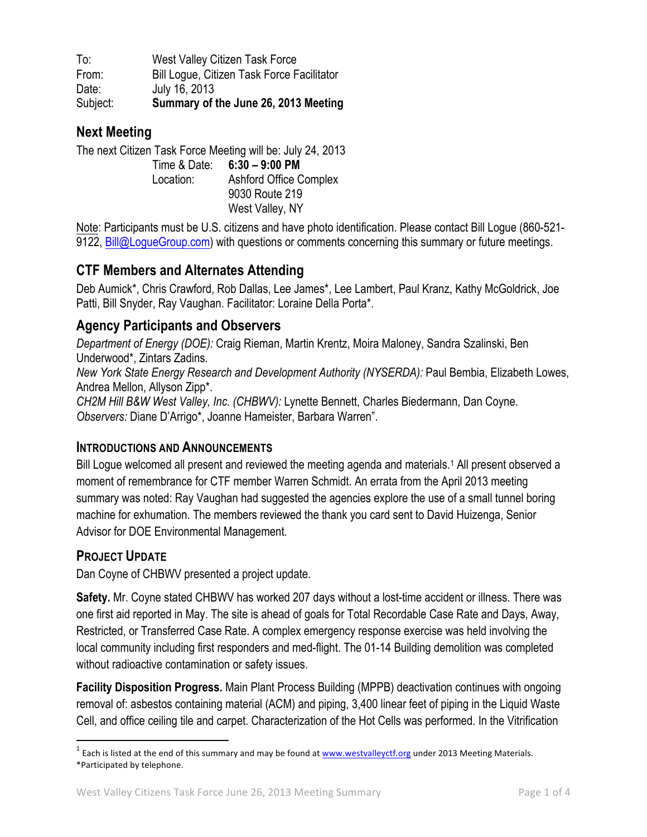To: West Valley Citizen Task Force From: Bill Logue, Citizen Task Force Facilitator Date: July 16, 2013 Subject: **Summary of the June 26, 2013 Meeting**

# **Next Meeting**

The next Citizen Task Force Meeting will be: July 24, 2013 Time & Date: **6:30 – 9:00 PM** Location: Ashford Office Complex 9030 Route 219 West Valley, NY

Note: Participants must be U.S. citizens and have photo identification. Please contact Bill Logue (860-521- 9122, Bill@LogueGroup.com) with questions or comments concerning this summary or future meetings.

# **CTF Members and Alternates Attending**

Deb Aumick\*, Chris Crawford, Rob Dallas, Lee James\*, Lee Lambert, Paul Kranz, Kathy McGoldrick, Joe Patti, Bill Snyder, Ray Vaughan. Facilitator: Loraine Della Porta\*.

## **Agency Participants and Observers**

*Department of Energy (DOE):* Craig Rieman, Martin Krentz, Moira Maloney, Sandra Szalinski, Ben Underwood\*, Zintars Zadins*. New York State Energy Research and Development Authority (NYSERDA):* Paul Bembia, Elizabeth Lowes, Andrea Mellon, Allyson Zipp\*. *CH2M Hill B&W West Valley, Inc. (CHBWV):* Lynette Bennett, Charles Biedermann, Dan Coyne. *Observers:* Diane D'Arrigo\*, Joanne Hameister, Barbara Warren".

### **INTRODUCTIONS AND ANNOUNCEMENTS**

Bill Logue welcomed all present and reviewed the meeting agenda and materials. <sup>1</sup> All present observed a moment of remembrance for CTF member Warren Schmidt. An errata from the April 2013 meeting summary was noted: Ray Vaughan had suggested the agencies explore the use of a small tunnel boring machine for exhumation. The members reviewed the thank you card sent to David Huizenga, Senior Advisor for DOE Environmental Management.

### **PROJECT UPDATE**

Dan Coyne of CHBWV presented a project update.

**Safety.** Mr. Coyne stated CHBWV has worked 207 days without a lost-time accident or illness. There was one first aid reported in May. The site is ahead of goals for Total Recordable Case Rate and Days, Away, Restricted, or Transferred Case Rate. A complex emergency response exercise was held involving the local community including first responders and med-flight. The 01-14 Building demolition was completed without radioactive contamination or safety issues.

**Facility Disposition Progress.** Main Plant Process Building (MPPB) deactivation continues with ongoing removal of: asbestos containing material (ACM) and piping, 3,400 linear feet of piping in the Liquid Waste Cell, and office ceiling tile and carpet. Characterization of the Hot Cells was performed. In the Vitrification

 $1$  Each is listed at the end of this summary and may be found at  $www.westvalleyctf.org$  under 2013 Meeting Materials. \*Participated by telephone.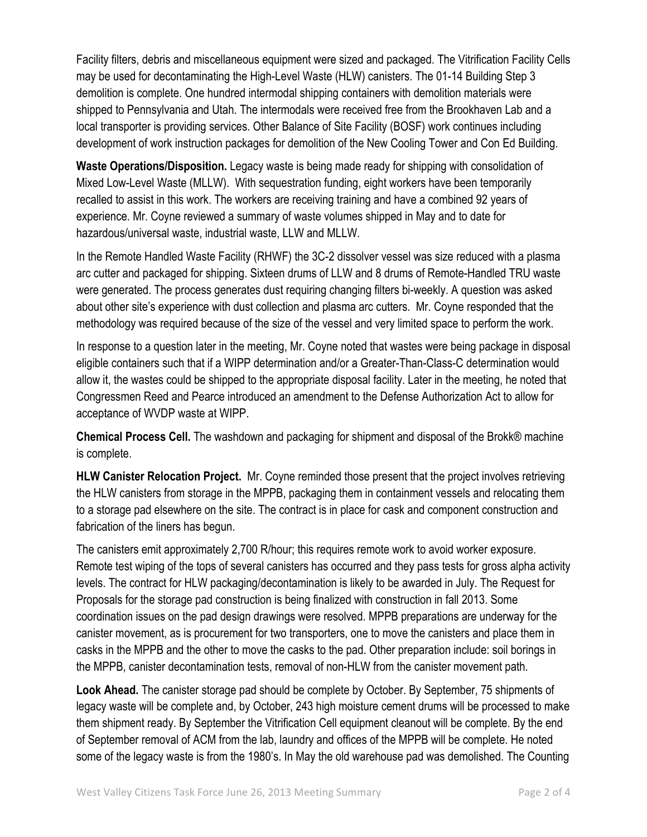Facility filters, debris and miscellaneous equipment were sized and packaged. The Vitrification Facility Cells may be used for decontaminating the High-Level Waste (HLW) canisters. The 01-14 Building Step 3 demolition is complete. One hundred intermodal shipping containers with demolition materials were shipped to Pennsylvania and Utah. The intermodals were received free from the Brookhaven Lab and a local transporter is providing services. Other Balance of Site Facility (BOSF) work continues including development of work instruction packages for demolition of the New Cooling Tower and Con Ed Building.

**Waste Operations/Disposition.** Legacy waste is being made ready for shipping with consolidation of Mixed Low-Level Waste (MLLW). With sequestration funding, eight workers have been temporarily recalled to assist in this work. The workers are receiving training and have a combined 92 years of experience. Mr. Coyne reviewed a summary of waste volumes shipped in May and to date for hazardous/universal waste, industrial waste, LLW and MLLW.

In the Remote Handled Waste Facility (RHWF) the 3C-2 dissolver vessel was size reduced with a plasma arc cutter and packaged for shipping. Sixteen drums of LLW and 8 drums of Remote-Handled TRU waste were generated. The process generates dust requiring changing filters bi-weekly. A question was asked about other site's experience with dust collection and plasma arc cutters. Mr. Coyne responded that the methodology was required because of the size of the vessel and very limited space to perform the work.

In response to a question later in the meeting, Mr. Coyne noted that wastes were being package in disposal eligible containers such that if a WIPP determination and/or a Greater-Than-Class-C determination would allow it, the wastes could be shipped to the appropriate disposal facility. Later in the meeting, he noted that Congressmen Reed and Pearce introduced an amendment to the Defense Authorization Act to allow for acceptance of WVDP waste at WIPP.

**Chemical Process Cell.** The washdown and packaging for shipment and disposal of the Brokk® machine is complete.

**HLW Canister Relocation Project.** Mr. Coyne reminded those present that the project involves retrieving the HLW canisters from storage in the MPPB, packaging them in containment vessels and relocating them to a storage pad elsewhere on the site. The contract is in place for cask and component construction and fabrication of the liners has begun.

The canisters emit approximately 2,700 R/hour; this requires remote work to avoid worker exposure. Remote test wiping of the tops of several canisters has occurred and they pass tests for gross alpha activity levels. The contract for HLW packaging/decontamination is likely to be awarded in July. The Request for Proposals for the storage pad construction is being finalized with construction in fall 2013. Some coordination issues on the pad design drawings were resolved. MPPB preparations are underway for the canister movement, as is procurement for two transporters, one to move the canisters and place them in casks in the MPPB and the other to move the casks to the pad. Other preparation include: soil borings in the MPPB, canister decontamination tests, removal of non-HLW from the canister movement path.

**Look Ahead.** The canister storage pad should be complete by October. By September, 75 shipments of legacy waste will be complete and, by October, 243 high moisture cement drums will be processed to make them shipment ready. By September the Vitrification Cell equipment cleanout will be complete. By the end of September removal of ACM from the lab, laundry and offices of the MPPB will be complete. He noted some of the legacy waste is from the 1980's. In May the old warehouse pad was demolished. The Counting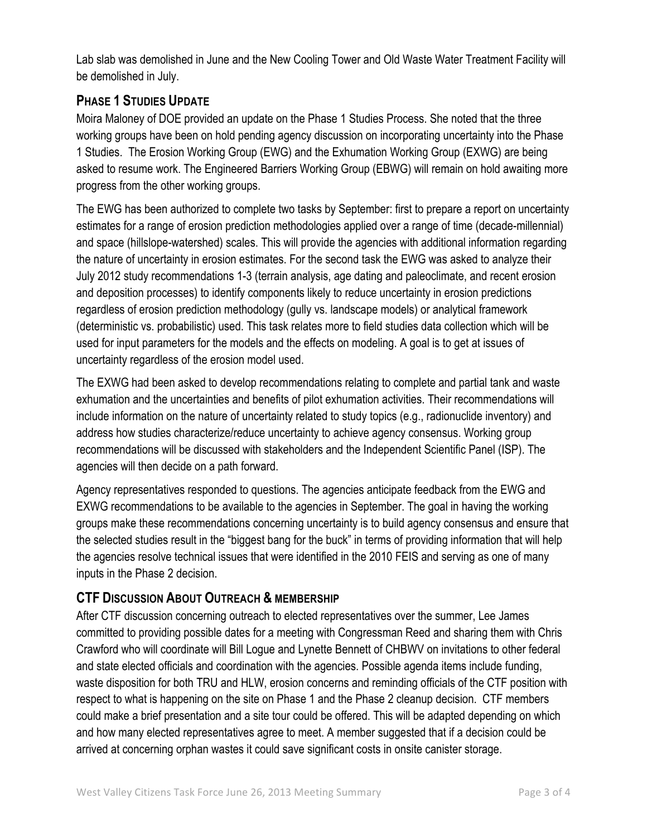Lab slab was demolished in June and the New Cooling Tower and Old Waste Water Treatment Facility will be demolished in July.

# **PHASE 1 STUDIES UPDATE**

Moira Maloney of DOE provided an update on the Phase 1 Studies Process. She noted that the three working groups have been on hold pending agency discussion on incorporating uncertainty into the Phase 1 Studies. The Erosion Working Group (EWG) and the Exhumation Working Group (EXWG) are being asked to resume work. The Engineered Barriers Working Group (EBWG) will remain on hold awaiting more progress from the other working groups.

The EWG has been authorized to complete two tasks by September: first to prepare a report on uncertainty estimates for a range of erosion prediction methodologies applied over a range of time (decade-millennial) and space (hillslope-watershed) scales. This will provide the agencies with additional information regarding the nature of uncertainty in erosion estimates. For the second task the EWG was asked to analyze their July 2012 study recommendations 1-3 (terrain analysis, age dating and paleoclimate, and recent erosion and deposition processes) to identify components likely to reduce uncertainty in erosion predictions regardless of erosion prediction methodology (gully vs. landscape models) or analytical framework (deterministic vs. probabilistic) used. This task relates more to field studies data collection which will be used for input parameters for the models and the effects on modeling. A goal is to get at issues of uncertainty regardless of the erosion model used.

The EXWG had been asked to develop recommendations relating to complete and partial tank and waste exhumation and the uncertainties and benefits of pilot exhumation activities. Their recommendations will include information on the nature of uncertainty related to study topics (e.g., radionuclide inventory) and address how studies characterize/reduce uncertainty to achieve agency consensus. Working group recommendations will be discussed with stakeholders and the Independent Scientific Panel (ISP). The agencies will then decide on a path forward.

Agency representatives responded to questions. The agencies anticipate feedback from the EWG and EXWG recommendations to be available to the agencies in September. The goal in having the working groups make these recommendations concerning uncertainty is to build agency consensus and ensure that the selected studies result in the "biggest bang for the buck" in terms of providing information that will help the agencies resolve technical issues that were identified in the 2010 FEIS and serving as one of many inputs in the Phase 2 decision.

# **CTF DISCUSSION ABOUT OUTREACH & MEMBERSHIP**

After CTF discussion concerning outreach to elected representatives over the summer, Lee James committed to providing possible dates for a meeting with Congressman Reed and sharing them with Chris Crawford who will coordinate will Bill Logue and Lynette Bennett of CHBWV on invitations to other federal and state elected officials and coordination with the agencies. Possible agenda items include funding, waste disposition for both TRU and HLW, erosion concerns and reminding officials of the CTF position with respect to what is happening on the site on Phase 1 and the Phase 2 cleanup decision. CTF members could make a brief presentation and a site tour could be offered. This will be adapted depending on which and how many elected representatives agree to meet. A member suggested that if a decision could be arrived at concerning orphan wastes it could save significant costs in onsite canister storage.